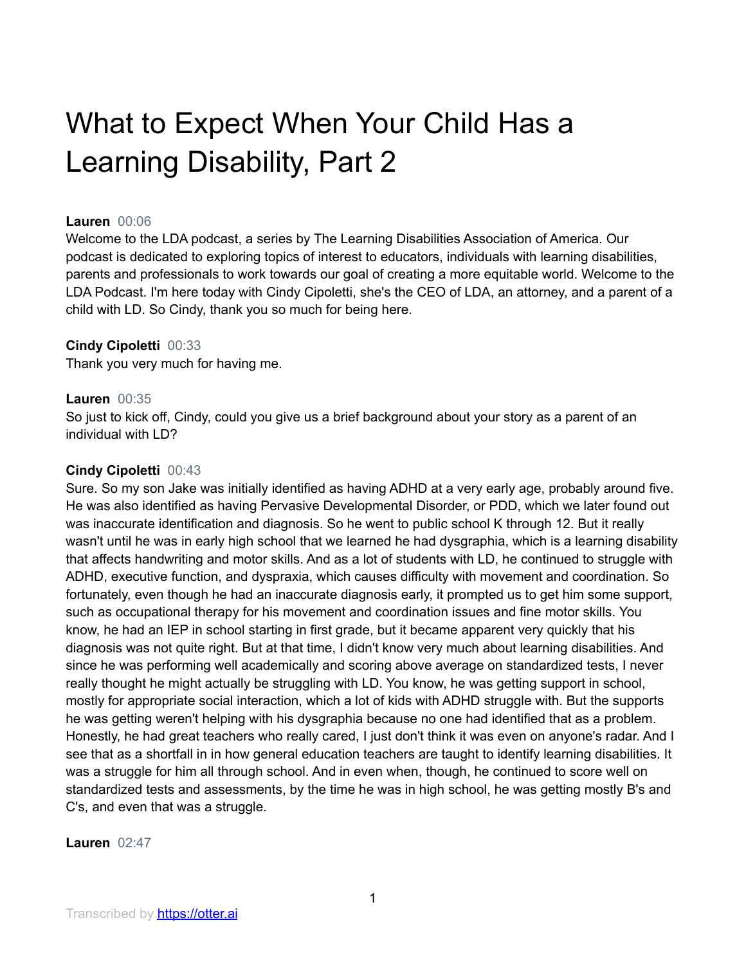# What to Expect When Your Child Has a Learning Disability, Part 2

## **Lauren** 00:06

Welcome to the LDA podcast, a series by The Learning Disabilities Association of America. Our podcast is dedicated to exploring topics of interest to educators, individuals with learning disabilities, parents and professionals to work towards our goal of creating a more equitable world. Welcome to the LDA Podcast. I'm here today with Cindy Cipoletti, she's the CEO of LDA, an attorney, and a parent of a child with LD. So Cindy, thank you so much for being here.

## **Cindy Cipoletti** 00:33

Thank you very much for having me.

## **Lauren** 00:35

So just to kick off, Cindy, could you give us a brief background about your story as a parent of an individual with LD?

## **Cindy Cipoletti** 00:43

Sure. So my son Jake was initially identified as having ADHD at a very early age, probably around five. He was also identified as having Pervasive Developmental Disorder, or PDD, which we later found out was inaccurate identification and diagnosis. So he went to public school K through 12. But it really wasn't until he was in early high school that we learned he had dysgraphia, which is a learning disability that affects handwriting and motor skills. And as a lot of students with LD, he continued to struggle with ADHD, executive function, and dyspraxia, which causes difficulty with movement and coordination. So fortunately, even though he had an inaccurate diagnosis early, it prompted us to get him some support, such as occupational therapy for his movement and coordination issues and fine motor skills. You know, he had an IEP in school starting in first grade, but it became apparent very quickly that his diagnosis was not quite right. But at that time, I didn't know very much about learning disabilities. And since he was performing well academically and scoring above average on standardized tests, I never really thought he might actually be struggling with LD. You know, he was getting support in school, mostly for appropriate social interaction, which a lot of kids with ADHD struggle with. But the supports he was getting weren't helping with his dysgraphia because no one had identified that as a problem. Honestly, he had great teachers who really cared, I just don't think it was even on anyone's radar. And I see that as a shortfall in in how general education teachers are taught to identify learning disabilities. It was a struggle for him all through school. And in even when, though, he continued to score well on standardized tests and assessments, by the time he was in high school, he was getting mostly B's and C's, and even that was a struggle.

## **Lauren** 02:47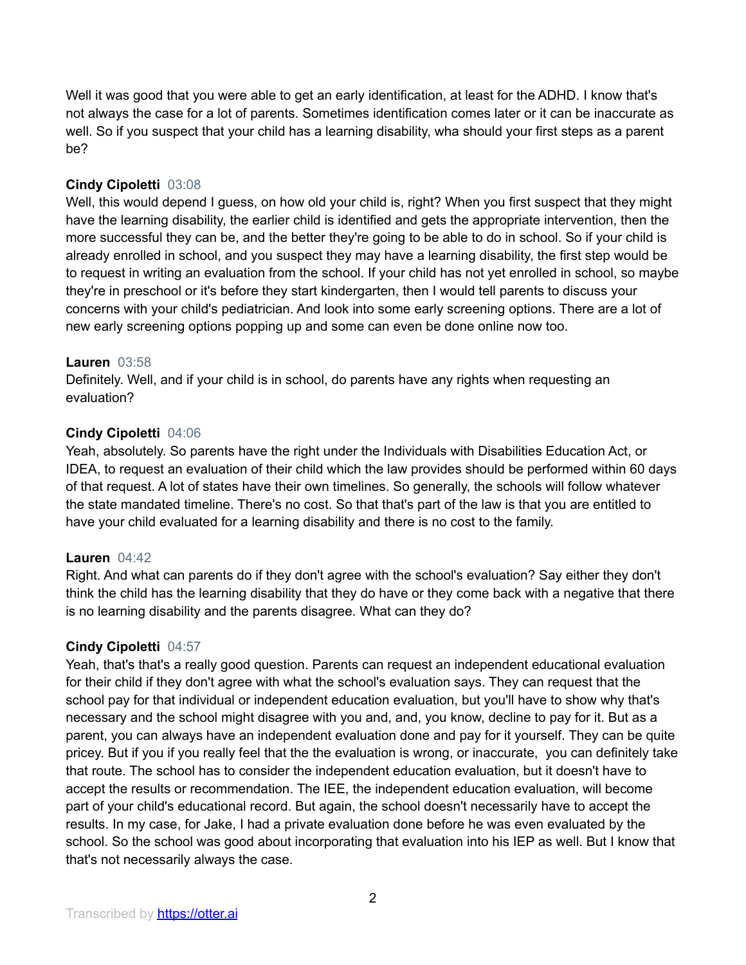Well it was good that you were able to get an early identification, at least for the ADHD. I know that's not always the case for a lot of parents. Sometimes identification comes later or it can be inaccurate as well. So if you suspect that your child has a learning disability, wha should your first steps as a parent be?

## **Cindy Cipoletti** 03:08

Well, this would depend I guess, on how old your child is, right? When you first suspect that they might have the learning disability, the earlier child is identified and gets the appropriate intervention, then the more successful they can be, and the better they're going to be able to do in school. So if your child is already enrolled in school, and you suspect they may have a learning disability, the first step would be to request in writing an evaluation from the school. If your child has not yet enrolled in school, so maybe they're in preschool or it's before they start kindergarten, then I would tell parents to discuss your concerns with your child's pediatrician. And look into some early screening options. There are a lot of new early screening options popping up and some can even be done online now too.

## **Lauren** 03:58

Definitely. Well, and if your child is in school, do parents have any rights when requesting an evaluation?

## **Cindy Cipoletti** 04:06

Yeah, absolutely. So parents have the right under the Individuals with Disabilities Education Act, or IDEA, to request an evaluation of their child which the law provides should be performed within 60 days of that request. A lot of states have their own timelines. So generally, the schools will follow whatever the state mandated timeline. There's no cost. So that that's part of the law is that you are entitled to have your child evaluated for a learning disability and there is no cost to the family.

## **Lauren** 04:42

Right. And what can parents do if they don't agree with the school's evaluation? Say either they don't think the child has the learning disability that they do have or they come back with a negative that there is no learning disability and the parents disagree. What can they do?

## **Cindy Cipoletti** 04:57

Yeah, that's that's a really good question. Parents can request an independent educational evaluation for their child if they don't agree with what the school's evaluation says. They can request that the school pay for that individual or independent education evaluation, but you'll have to show why that's necessary and the school might disagree with you and, and, you know, decline to pay for it. But as a parent, you can always have an independent evaluation done and pay for it yourself. They can be quite pricey. But if you if you really feel that the the evaluation is wrong, or inaccurate, you can definitely take that route. The school has to consider the independent education evaluation, but it doesn't have to accept the results or recommendation. The IEE, the independent education evaluation, will become part of your child's educational record. But again, the school doesn't necessarily have to accept the results. In my case, for Jake, I had a private evaluation done before he was even evaluated by the school. So the school was good about incorporating that evaluation into his IEP as well. But I know that that's not necessarily always the case.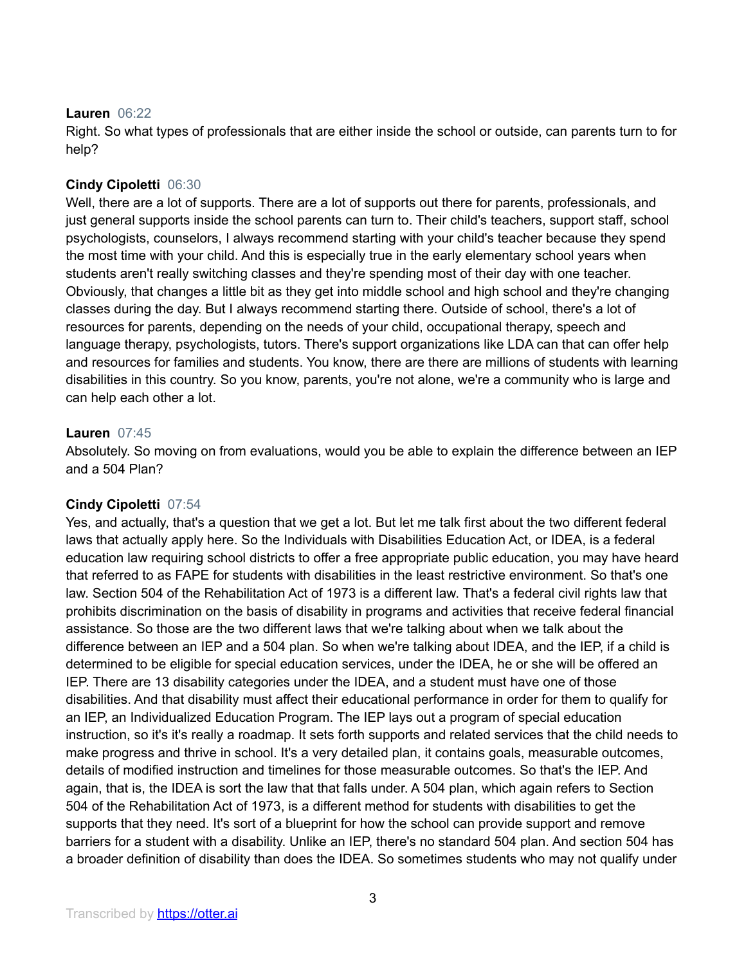## **Lauren** 06:22

Right. So what types of professionals that are either inside the school or outside, can parents turn to for help?

## **Cindy Cipoletti** 06:30

Well, there are a lot of supports. There are a lot of supports out there for parents, professionals, and just general supports inside the school parents can turn to. Their child's teachers, support staff, school psychologists, counselors, I always recommend starting with your child's teacher because they spend the most time with your child. And this is especially true in the early elementary school years when students aren't really switching classes and they're spending most of their day with one teacher. Obviously, that changes a little bit as they get into middle school and high school and they're changing classes during the day. But I always recommend starting there. Outside of school, there's a lot of resources for parents, depending on the needs of your child, occupational therapy, speech and language therapy, psychologists, tutors. There's support organizations like LDA can that can offer help and resources for families and students. You know, there are there are millions of students with learning disabilities in this country. So you know, parents, you're not alone, we're a community who is large and can help each other a lot.

## **Lauren** 07:45

Absolutely. So moving on from evaluations, would you be able to explain the difference between an IEP and a 504 Plan?

## **Cindy Cipoletti** 07:54

Yes, and actually, that's a question that we get a lot. But let me talk first about the two different federal laws that actually apply here. So the Individuals with Disabilities Education Act, or IDEA, is a federal education law requiring school districts to offer a free appropriate public education, you may have heard that referred to as FAPE for students with disabilities in the least restrictive environment. So that's one law. Section 504 of the Rehabilitation Act of 1973 is a different law. That's a federal civil rights law that prohibits discrimination on the basis of disability in programs and activities that receive federal financial assistance. So those are the two different laws that we're talking about when we talk about the difference between an IEP and a 504 plan. So when we're talking about IDEA, and the IEP, if a child is determined to be eligible for special education services, under the IDEA, he or she will be offered an IEP. There are 13 disability categories under the IDEA, and a student must have one of those disabilities. And that disability must affect their educational performance in order for them to qualify for an IEP, an Individualized Education Program. The IEP lays out a program of special education instruction, so it's it's really a roadmap. It sets forth supports and related services that the child needs to make progress and thrive in school. It's a very detailed plan, it contains goals, measurable outcomes, details of modified instruction and timelines for those measurable outcomes. So that's the IEP. And again, that is, the IDEA is sort the law that that falls under. A 504 plan, which again refers to Section 504 of the Rehabilitation Act of 1973, is a different method for students with disabilities to get the supports that they need. It's sort of a blueprint for how the school can provide support and remove barriers for a student with a disability. Unlike an IEP, there's no standard 504 plan. And section 504 has a broader definition of disability than does the IDEA. So sometimes students who may not qualify under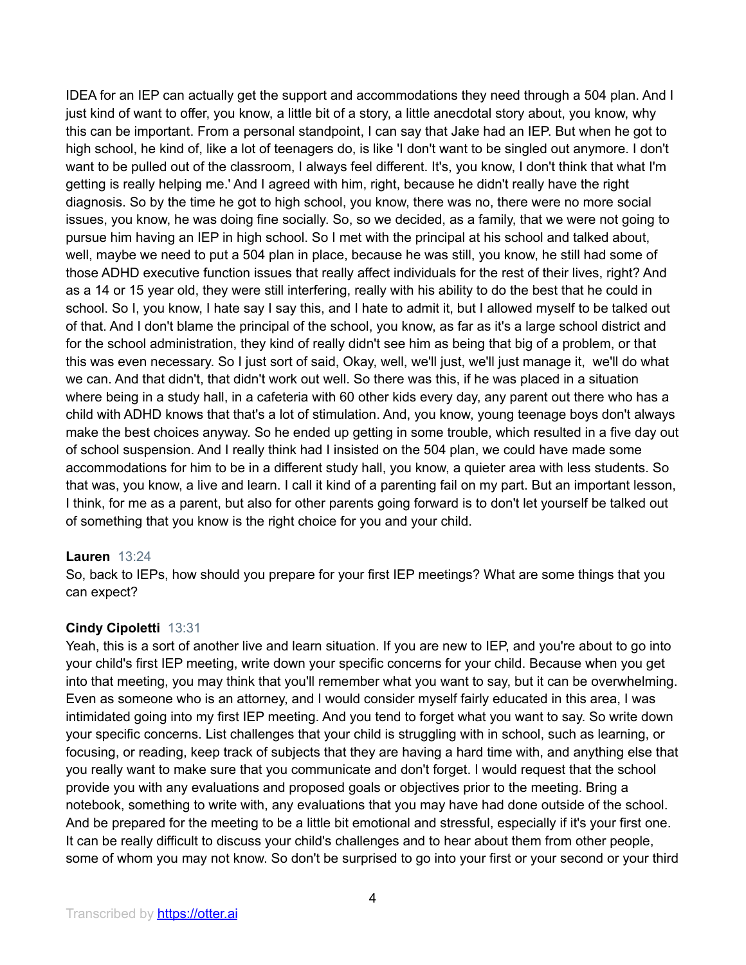IDEA for an IEP can actually get the support and accommodations they need through a 504 plan. And I just kind of want to offer, you know, a little bit of a story, a little anecdotal story about, you know, why this can be important. From a personal standpoint, I can say that Jake had an IEP. But when he got to high school, he kind of, like a lot of teenagers do, is like 'I don't want to be singled out anymore. I don't want to be pulled out of the classroom, I always feel different. It's, you know, I don't think that what I'm getting is really helping me.' And I agreed with him, right, because he didn't really have the right diagnosis. So by the time he got to high school, you know, there was no, there were no more social issues, you know, he was doing fine socially. So, so we decided, as a family, that we were not going to pursue him having an IEP in high school. So I met with the principal at his school and talked about, well, maybe we need to put a 504 plan in place, because he was still, you know, he still had some of those ADHD executive function issues that really affect individuals for the rest of their lives, right? And as a 14 or 15 year old, they were still interfering, really with his ability to do the best that he could in school. So I, you know, I hate say I say this, and I hate to admit it, but I allowed myself to be talked out of that. And I don't blame the principal of the school, you know, as far as it's a large school district and for the school administration, they kind of really didn't see him as being that big of a problem, or that this was even necessary. So I just sort of said, Okay, well, we'll just, we'll just manage it, we'll do what we can. And that didn't, that didn't work out well. So there was this, if he was placed in a situation where being in a study hall, in a cafeteria with 60 other kids every day, any parent out there who has a child with ADHD knows that that's a lot of stimulation. And, you know, young teenage boys don't always make the best choices anyway. So he ended up getting in some trouble, which resulted in a five day out of school suspension. And I really think had I insisted on the 504 plan, we could have made some accommodations for him to be in a different study hall, you know, a quieter area with less students. So that was, you know, a live and learn. I call it kind of a parenting fail on my part. But an important lesson, I think, for me as a parent, but also for other parents going forward is to don't let yourself be talked out of something that you know is the right choice for you and your child.

## **Lauren** 13:24

So, back to IEPs, how should you prepare for your first IEP meetings? What are some things that you can expect?

## **Cindy Cipoletti** 13:31

Yeah, this is a sort of another live and learn situation. If you are new to IEP, and you're about to go into your child's first IEP meeting, write down your specific concerns for your child. Because when you get into that meeting, you may think that you'll remember what you want to say, but it can be overwhelming. Even as someone who is an attorney, and I would consider myself fairly educated in this area, I was intimidated going into my first IEP meeting. And you tend to forget what you want to say. So write down your specific concerns. List challenges that your child is struggling with in school, such as learning, or focusing, or reading, keep track of subjects that they are having a hard time with, and anything else that you really want to make sure that you communicate and don't forget. I would request that the school provide you with any evaluations and proposed goals or objectives prior to the meeting. Bring a notebook, something to write with, any evaluations that you may have had done outside of the school. And be prepared for the meeting to be a little bit emotional and stressful, especially if it's your first one. It can be really difficult to discuss your child's challenges and to hear about them from other people, some of whom you may not know. So don't be surprised to go into your first or your second or your third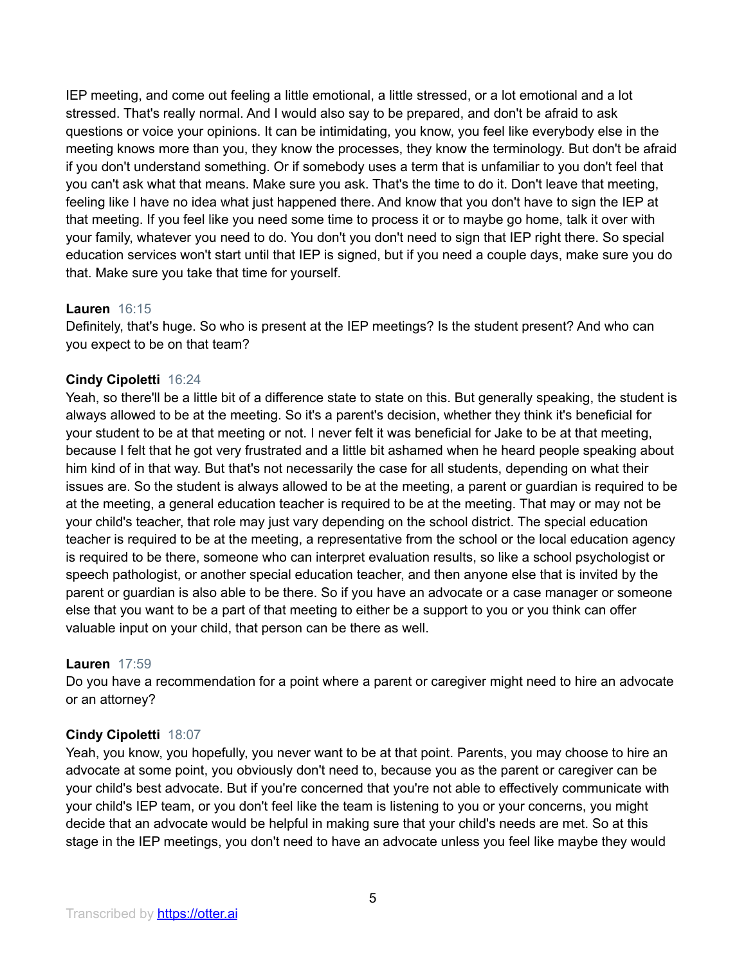IEP meeting, and come out feeling a little emotional, a little stressed, or a lot emotional and a lot stressed. That's really normal. And I would also say to be prepared, and don't be afraid to ask questions or voice your opinions. It can be intimidating, you know, you feel like everybody else in the meeting knows more than you, they know the processes, they know the terminology. But don't be afraid if you don't understand something. Or if somebody uses a term that is unfamiliar to you don't feel that you can't ask what that means. Make sure you ask. That's the time to do it. Don't leave that meeting, feeling like I have no idea what just happened there. And know that you don't have to sign the IEP at that meeting. If you feel like you need some time to process it or to maybe go home, talk it over with your family, whatever you need to do. You don't you don't need to sign that IEP right there. So special education services won't start until that IEP is signed, but if you need a couple days, make sure you do that. Make sure you take that time for yourself.

## **Lauren** 16:15

Definitely, that's huge. So who is present at the IEP meetings? Is the student present? And who can you expect to be on that team?

# **Cindy Cipoletti** 16:24

Yeah, so there'll be a little bit of a difference state to state on this. But generally speaking, the student is always allowed to be at the meeting. So it's a parent's decision, whether they think it's beneficial for your student to be at that meeting or not. I never felt it was beneficial for Jake to be at that meeting, because I felt that he got very frustrated and a little bit ashamed when he heard people speaking about him kind of in that way. But that's not necessarily the case for all students, depending on what their issues are. So the student is always allowed to be at the meeting, a parent or guardian is required to be at the meeting, a general education teacher is required to be at the meeting. That may or may not be your child's teacher, that role may just vary depending on the school district. The special education teacher is required to be at the meeting, a representative from the school or the local education agency is required to be there, someone who can interpret evaluation results, so like a school psychologist or speech pathologist, or another special education teacher, and then anyone else that is invited by the parent or guardian is also able to be there. So if you have an advocate or a case manager or someone else that you want to be a part of that meeting to either be a support to you or you think can offer valuable input on your child, that person can be there as well.

# **Lauren** 17:59

Do you have a recommendation for a point where a parent or caregiver might need to hire an advocate or an attorney?

# **Cindy Cipoletti** 18:07

Yeah, you know, you hopefully, you never want to be at that point. Parents, you may choose to hire an advocate at some point, you obviously don't need to, because you as the parent or caregiver can be your child's best advocate. But if you're concerned that you're not able to effectively communicate with your child's IEP team, or you don't feel like the team is listening to you or your concerns, you might decide that an advocate would be helpful in making sure that your child's needs are met. So at this stage in the IEP meetings, you don't need to have an advocate unless you feel like maybe they would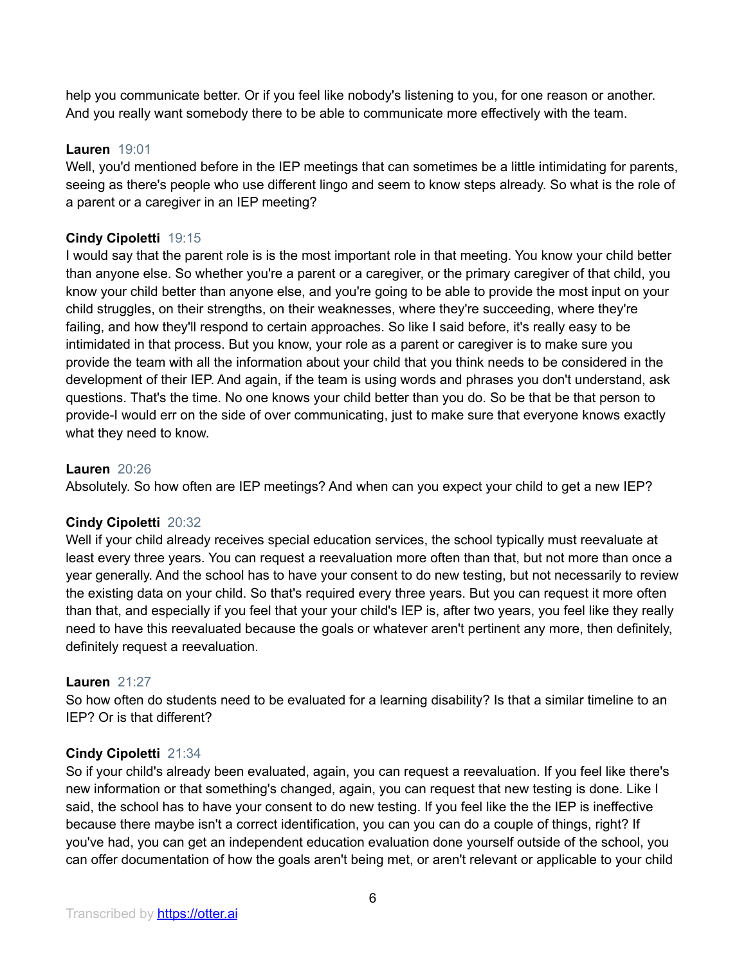help you communicate better. Or if you feel like nobody's listening to you, for one reason or another. And you really want somebody there to be able to communicate more effectively with the team.

## **Lauren** 19:01

Well, you'd mentioned before in the IEP meetings that can sometimes be a little intimidating for parents, seeing as there's people who use different lingo and seem to know steps already. So what is the role of a parent or a caregiver in an IEP meeting?

## **Cindy Cipoletti** 19:15

I would say that the parent role is is the most important role in that meeting. You know your child better than anyone else. So whether you're a parent or a caregiver, or the primary caregiver of that child, you know your child better than anyone else, and you're going to be able to provide the most input on your child struggles, on their strengths, on their weaknesses, where they're succeeding, where they're failing, and how they'll respond to certain approaches. So like I said before, it's really easy to be intimidated in that process. But you know, your role as a parent or caregiver is to make sure you provide the team with all the information about your child that you think needs to be considered in the development of their IEP. And again, if the team is using words and phrases you don't understand, ask questions. That's the time. No one knows your child better than you do. So be that be that person to provide-I would err on the side of over communicating, just to make sure that everyone knows exactly what they need to know.

## **Lauren** 20:26

Absolutely. So how often are IEP meetings? And when can you expect your child to get a new IEP?

## **Cindy Cipoletti** 20:32

Well if your child already receives special education services, the school typically must reevaluate at least every three years. You can request a reevaluation more often than that, but not more than once a year generally. And the school has to have your consent to do new testing, but not necessarily to review the existing data on your child. So that's required every three years. But you can request it more often than that, and especially if you feel that your your child's IEP is, after two years, you feel like they really need to have this reevaluated because the goals or whatever aren't pertinent any more, then definitely, definitely request a reevaluation.

## **Lauren** 21:27

So how often do students need to be evaluated for a learning disability? Is that a similar timeline to an IEP? Or is that different?

#### **Cindy Cipoletti** 21:34

So if your child's already been evaluated, again, you can request a reevaluation. If you feel like there's new information or that something's changed, again, you can request that new testing is done. Like I said, the school has to have your consent to do new testing. If you feel like the the IEP is ineffective because there maybe isn't a correct identification, you can you can do a couple of things, right? If you've had, you can get an independent education evaluation done yourself outside of the school, you can offer documentation of how the goals aren't being met, or aren't relevant or applicable to your child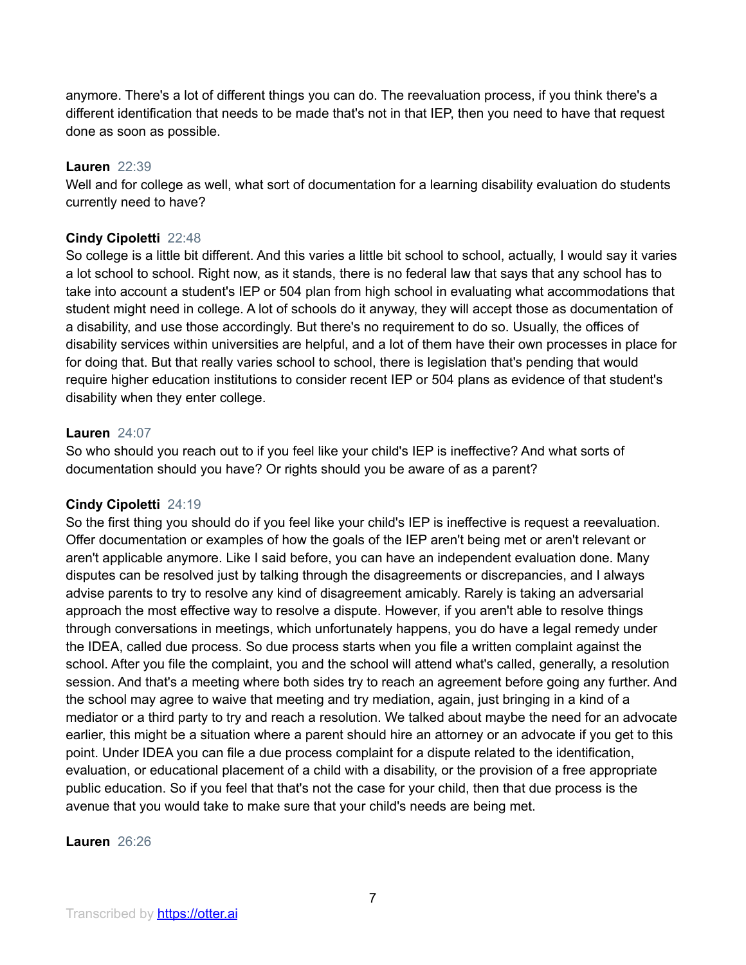anymore. There's a lot of different things you can do. The reevaluation process, if you think there's a different identification that needs to be made that's not in that IEP, then you need to have that request done as soon as possible.

## **Lauren** 22:39

Well and for college as well, what sort of documentation for a learning disability evaluation do students currently need to have?

## **Cindy Cipoletti** 22:48

So college is a little bit different. And this varies a little bit school to school, actually, I would say it varies a lot school to school. Right now, as it stands, there is no federal law that says that any school has to take into account a student's IEP or 504 plan from high school in evaluating what accommodations that student might need in college. A lot of schools do it anyway, they will accept those as documentation of a disability, and use those accordingly. But there's no requirement to do so. Usually, the offices of disability services within universities are helpful, and a lot of them have their own processes in place for for doing that. But that really varies school to school, there is legislation that's pending that would require higher education institutions to consider recent IEP or 504 plans as evidence of that student's disability when they enter college.

#### **Lauren** 24:07

So who should you reach out to if you feel like your child's IEP is ineffective? And what sorts of documentation should you have? Or rights should you be aware of as a parent?

## **Cindy Cipoletti** 24:19

So the first thing you should do if you feel like your child's IEP is ineffective is request a reevaluation. Offer documentation or examples of how the goals of the IEP aren't being met or aren't relevant or aren't applicable anymore. Like I said before, you can have an independent evaluation done. Many disputes can be resolved just by talking through the disagreements or discrepancies, and I always advise parents to try to resolve any kind of disagreement amicably. Rarely is taking an adversarial approach the most effective way to resolve a dispute. However, if you aren't able to resolve things through conversations in meetings, which unfortunately happens, you do have a legal remedy under the IDEA, called due process. So due process starts when you file a written complaint against the school. After you file the complaint, you and the school will attend what's called, generally, a resolution session. And that's a meeting where both sides try to reach an agreement before going any further. And the school may agree to waive that meeting and try mediation, again, just bringing in a kind of a mediator or a third party to try and reach a resolution. We talked about maybe the need for an advocate earlier, this might be a situation where a parent should hire an attorney or an advocate if you get to this point. Under IDEA you can file a due process complaint for a dispute related to the identification, evaluation, or educational placement of a child with a disability, or the provision of a free appropriate public education. So if you feel that that's not the case for your child, then that due process is the avenue that you would take to make sure that your child's needs are being met.

## **Lauren** 26:26